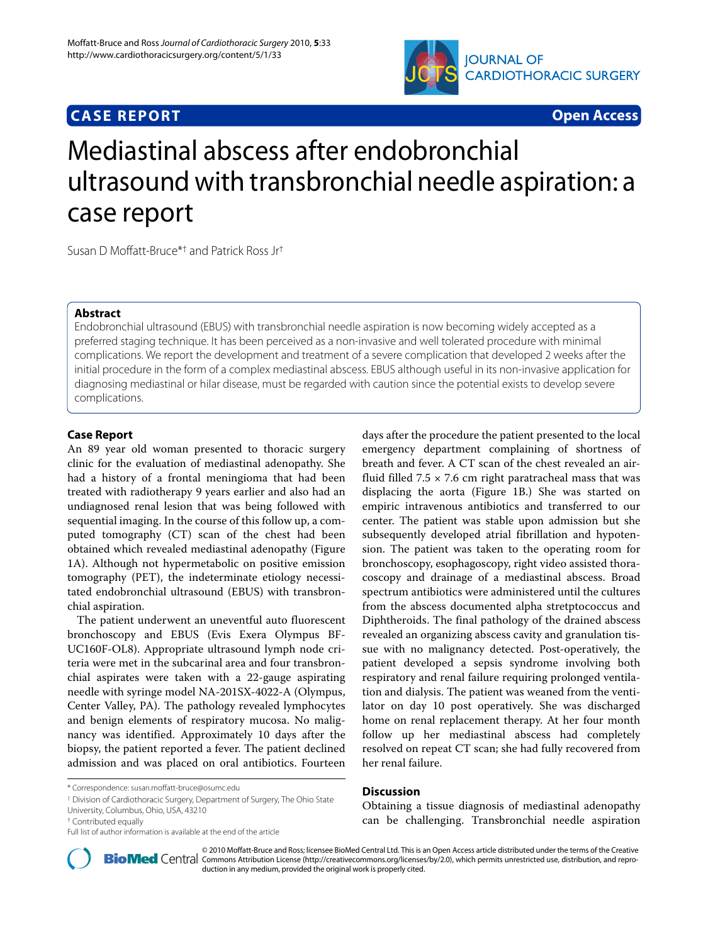

## **CASE REPORT Open Access**

# Mediastinal abscess after endobronchial ultrasound with transbronchial needle aspiration: a case report

Susan D Moffatt-Bruce\*† and Patrick Ross Jr†

## **Abstract**

Endobronchial ultrasound (EBUS) with transbronchial needle aspiration is now becoming widely accepted as a preferred staging technique. It has been perceived as a non-invasive and well tolerated procedure with minimal complications. We report the development and treatment of a severe complication that developed 2 weeks after the initial procedure in the form of a complex mediastinal abscess. EBUS although useful in its non-invasive application for diagnosing mediastinal or hilar disease, must be regarded with caution since the potential exists to develop severe complications.

## **Case Report**

An 89 year old woman presented to thoracic surgery clinic for the evaluation of mediastinal adenopathy. She had a history of a frontal meningioma that had been treated with radiotherapy 9 years earlier and also had an undiagnosed renal lesion that was being followed with sequential imaging. In the course of this follow up, a computed tomography (CT) scan of the chest had been obtained which revealed mediastinal adenopathy (Figure [1A](#page-1-0)). Although not hypermetabolic on positive emission tomography (PET), the indeterminate etiology necessitated endobronchial ultrasound (EBUS) with transbronchial aspiration.

The patient underwent an uneventful auto fluorescent bronchoscopy and EBUS (Evis Exera Olympus BF-UC160F-OL8). Appropriate ultrasound lymph node criteria were met in the subcarinal area and four transbronchial aspirates were taken with a 22-gauge aspirating needle with syringe model NA-201SX-4022-A (Olympus, Center Valley, PA). The pathology revealed lymphocytes and benign elements of respiratory mucosa. No malignancy was identified. Approximately 10 days after the biopsy, the patient reported a fever. The patient declined admission and was placed on oral antibiotics. Fourteen

days after the procedure the patient presented to the local emergency department complaining of shortness of breath and fever. A CT scan of the chest revealed an airfluid filled  $7.5 \times 7.6$  cm right paratracheal mass that was displacing the aorta (Figure [1](#page-1-0)B.) She was started on empiric intravenous antibiotics and transferred to our center. The patient was stable upon admission but she subsequently developed atrial fibrillation and hypotension. The patient was taken to the operating room for bronchoscopy, esophagoscopy, right video assisted thoracoscopy and drainage of a mediastinal abscess. Broad spectrum antibiotics were administered until the cultures from the abscess documented alpha stretptococcus and Diphtheroids. The final pathology of the drained abscess revealed an organizing abscess cavity and granulation tissue with no malignancy detected. Post-operatively, the patient developed a sepsis syndrome involving both respiratory and renal failure requiring prolonged ventilation and dialysis. The patient was weaned from the ventilator on day 10 post operatively. She was discharged home on renal replacement therapy. At her four month follow up her mediastinal abscess had completely resolved on repeat CT scan; she had fully recovered from her renal failure.

## **Discussion**

Obtaining a tissue diagnosis of mediastinal adenopathy can be challenging. Transbronchial needle aspiration



© 2010 Moffatt-Bruce and Ross; licensee [BioMed](http://www.biomedcentral.com/) Central Ltd. This is an Open Access article distributed under the terms of the Creative<br>- <mark>Bio Med</mark> Central Commons Attribution License (http://creativecommons.org/licenses/by duction in any medium, provided the original work is properly cited.

<sup>\*</sup> Correspondence: susan.moffatt-bruce@osumc.edu

<sup>&</sup>lt;sup>1</sup> Division of Cardiothoracic Surgery, Department of Surgery, The Ohio State University, Columbus, Ohio, USA, 43210

<sup>†</sup> Contributed equally

Full list of author information is available at the end of the article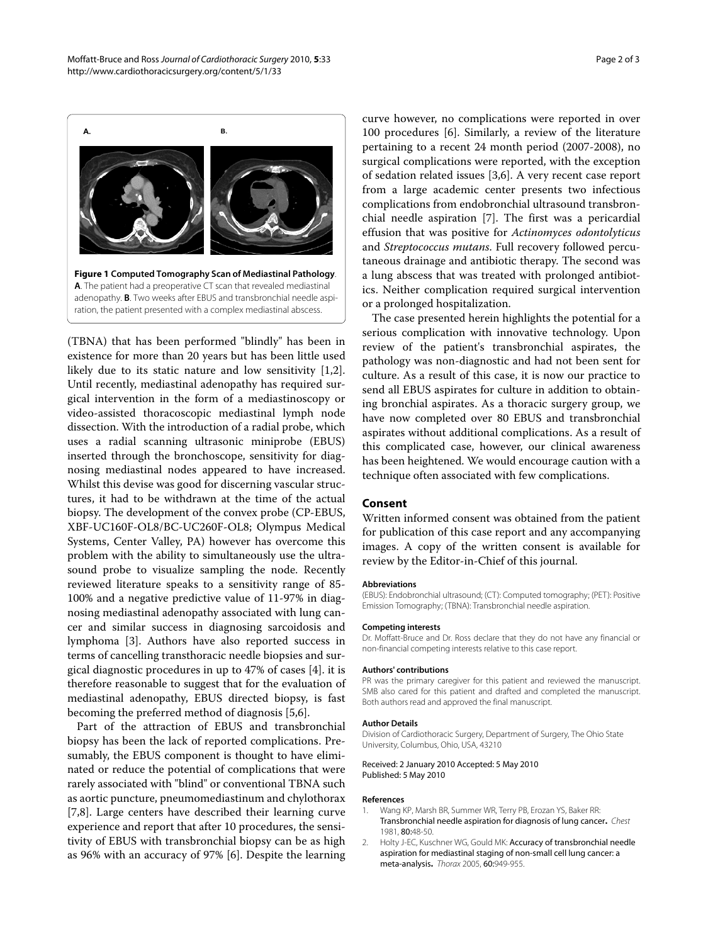<span id="page-1-0"></span>

(TBNA) that has been performed "blindly" has been in existence for more than 20 years but has been little used likely due to its static nature and low sensitivity [[1,](#page-1-1)[2](#page-1-2)]. Until recently, mediastinal adenopathy has required surgical intervention in the form of a mediastinoscopy or video-assisted thoracoscopic mediastinal lymph node dissection. With the introduction of a radial probe, which uses a radial scanning ultrasonic miniprobe (EBUS) inserted through the bronchoscope, sensitivity for diagnosing mediastinal nodes appeared to have increased. Whilst this devise was good for discerning vascular structures, it had to be withdrawn at the time of the actual biopsy. The development of the convex probe (CP-EBUS, XBF-UC160F-OL8/BC-UC260F-OL8; Olympus Medical Systems, Center Valley, PA) however has overcome this problem with the ability to simultaneously use the ultrasound probe to visualize sampling the node. Recently reviewed literature speaks to a sensitivity range of 85- 100% and a negative predictive value of 11-97% in diagnosing mediastinal adenopathy associated with lung cancer and similar success in diagnosing sarcoidosis and lymphoma [[3\]](#page-2-0). Authors have also reported success in terms of cancelling transthoracic needle biopsies and surgical diagnostic procedures in up to 47% of cases [[4\]](#page-2-1). it is therefore reasonable to suggest that for the evaluation of mediastinal adenopathy, EBUS directed biopsy, is fast becoming the preferred method of diagnosis [\[5](#page-2-2)[,6](#page-2-3)].

Part of the attraction of EBUS and transbronchial biopsy has been the lack of reported complications. Presumably, the EBUS component is thought to have eliminated or reduce the potential of complications that were rarely associated with "blind" or conventional TBNA such as aortic puncture, pneumomediastinum and chylothorax [[7,](#page-2-4)[8\]](#page-2-5). Large centers have described their learning curve experience and report that after 10 procedures, the sensitivity of EBUS with transbronchial biopsy can be as high as 96% with an accuracy of 97% [[6\]](#page-2-3). Despite the learning

curve however, no complications were reported in over 100 procedures [\[6](#page-2-3)]. Similarly, a review of the literature pertaining to a recent 24 month period (2007-2008), no surgical complications were reported, with the exception of sedation related issues [[3,](#page-2-0)[6\]](#page-2-3). A very recent case report from a large academic center presents two infectious complications from endobronchial ultrasound transbronchial needle aspiration [[7\]](#page-2-4). The first was a pericardial effusion that was positive for *Actinomyces odontolyticus* and *Streptococcus mutans*. Full recovery followed percutaneous drainage and antibiotic therapy. The second was a lung abscess that was treated with prolonged antibiotics. Neither complication required surgical intervention or a prolonged hospitalization.

The case presented herein highlights the potential for a serious complication with innovative technology. Upon review of the patient's transbronchial aspirates, the pathology was non-diagnostic and had not been sent for culture. As a result of this case, it is now our practice to send all EBUS aspirates for culture in addition to obtaining bronchial aspirates. As a thoracic surgery group, we have now completed over 80 EBUS and transbronchial aspirates without additional complications. As a result of this complicated case, however, our clinical awareness has been heightened. We would encourage caution with a technique often associated with few complications.

## **Consent**

Written informed consent was obtained from the patient for publication of this case report and any accompanying images. A copy of the written consent is available for review by the Editor-in-Chief of this journal.

#### **Abbreviations**

(EBUS): Endobronchial ultrasound; (CT): Computed tomography; (PET): Positive Emission Tomography; (TBNA): Transbronchial needle aspiration.

#### **Competing interests**

Dr. Moffatt-Bruce and Dr. Ross declare that they do not have any financial or non-financial competing interests relative to this case report.

#### **Authors' contributions**

PR was the primary caregiver for this patient and reviewed the manuscript. SMB also cared for this patient and drafted and completed the manuscript. Both authors read and approved the final manuscript.

#### **Author Details**

Division of Cardiothoracic Surgery, Department of Surgery, The Ohio State University, Columbus, Ohio, USA, 43210

#### Received: 2 January 2010 Accepted: 5 May 2010 Published: 5 May 2010

#### **References**

- <span id="page-1-1"></span>1. Wang KP, Marsh BR, Summer WR, Terry PB, Erozan YS, Baker RR: Transbronchial needle aspiration for diagnosis of lung cancer**.** Chest 1981, 80:48-50.
- <span id="page-1-2"></span>2. Holty J-EC, Kuschner WG, Gould MK: Accuracy of transbronchial needle aspiration for mediastinal staging of non-small cell lung cancer: a meta-analysis**[.](http://www.ncbi.nlm.nih.gov/entrez/query.fcgi?cmd=Retrieve&db=PubMed&dopt=Abstract&list_uids=15994251)** Thorax 2005, 60:949-955.